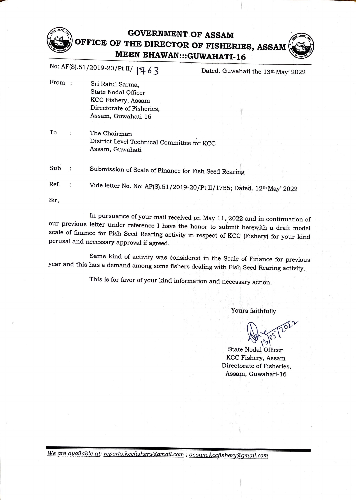## **GOVERNMENT OF ASSAM OFFICE OF THE DIRECTOR OF FISH~RIE\$, ASSAM MEEN BHAWAN:::GUWAHATI-16**

No: AF(S).51/2019-20/Pt II/ **)~6** *3* Dated. Guwahati the 13th May' <sup>2022</sup>

- From : Sri Ratul Sarma, State Nodal Officer KCC Fishery, Assam Directorate of Fisheries, Assam, Guwahati-16
- To The Chairman  $\cdot$ District Level Technical Committee for KCC Assam, Guwahati

Sub Submission of Scale of Finance for Fish Seed Rearing

Ref. : Vide letter No. No: AF(S).51/2019-20/Pt II/1755; Dated. 12<sup>th</sup> May' 2022

Sir,

In pursuance of your mail received on May 11, 2022 and in continuation of our previous letter under reference I have the honor to submit herewith a draft model scale of finance for Fish Seed Rearing activity in respect of KCC (Fishery) for your kind perusal and necessary approval if agreed.

Same kind of activity was considered in the Scale of Finance for previous year and this has a demand among some fishers dealing with Fish Seed Rearing activity.

This is for favor of your kind information and necessary action.

Yours faithfully

*<u>Avenus pozz</u>* 

State Nodal Officer KCC Fishery, Assam Directorate of Fisheries, Assam, Guwahati-16